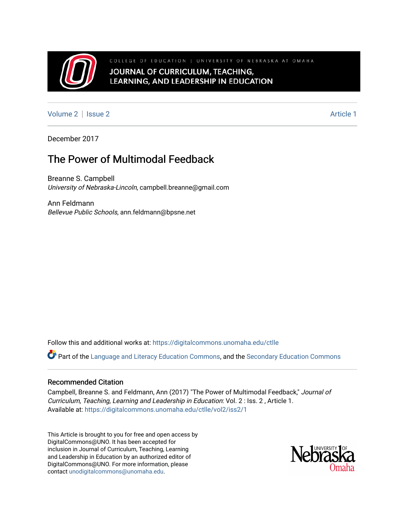

COLLEGE OF EDUCATION | UNIVERSITY OF NEBRASKA AT OMAHA JOURNAL OF CURRICULUM, TEACHING, LEARNING, AND LEADERSHIP IN EDUCATION

[Volume 2](https://digitalcommons.unomaha.edu/ctlle/vol2) | [Issue 2](https://digitalcommons.unomaha.edu/ctlle/vol2/iss2) Article 1

December 2017

# The Power of Multimodal Feedback

Breanne S. Campbell University of Nebraska-Lincoln, campbell.breanne@gmail.com

Ann Feldmann Bellevue Public Schools, ann.feldmann@bpsne.net

Follow this and additional works at: [https://digitalcommons.unomaha.edu/ctlle](https://digitalcommons.unomaha.edu/ctlle?utm_source=digitalcommons.unomaha.edu%2Fctlle%2Fvol2%2Fiss2%2F1&utm_medium=PDF&utm_campaign=PDFCoverPages) 

Part of the [Language and Literacy Education Commons,](http://network.bepress.com/hgg/discipline/1380?utm_source=digitalcommons.unomaha.edu%2Fctlle%2Fvol2%2Fiss2%2F1&utm_medium=PDF&utm_campaign=PDFCoverPages) and the [Secondary Education Commons](http://network.bepress.com/hgg/discipline/1382?utm_source=digitalcommons.unomaha.edu%2Fctlle%2Fvol2%2Fiss2%2F1&utm_medium=PDF&utm_campaign=PDFCoverPages)

### Recommended Citation

Campbell, Breanne S. and Feldmann, Ann (2017) "The Power of Multimodal Feedback," Journal of Curriculum, Teaching, Learning and Leadership in Education: Vol. 2 : Iss. 2 , Article 1. Available at: [https://digitalcommons.unomaha.edu/ctlle/vol2/iss2/1](https://digitalcommons.unomaha.edu/ctlle/vol2/iss2/1?utm_source=digitalcommons.unomaha.edu%2Fctlle%2Fvol2%2Fiss2%2F1&utm_medium=PDF&utm_campaign=PDFCoverPages) 

This Article is brought to you for free and open access by DigitalCommons@UNO. It has been accepted for inclusion in Journal of Curriculum, Teaching, Learning and Leadership in Education by an authorized editor of DigitalCommons@UNO. For more information, please contact [unodigitalcommons@unomaha.edu](mailto:unodigitalcommons@unomaha.edu).

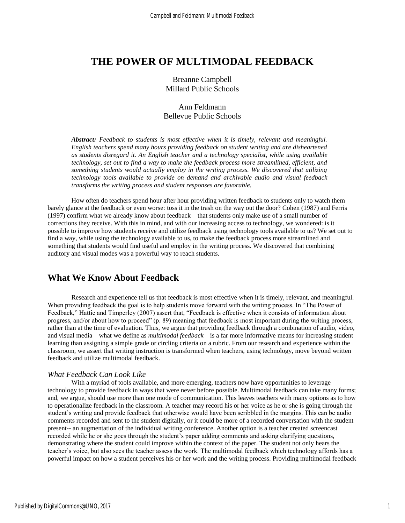# **THE POWER OF MULTIMODAL FEEDBACK**

Breanne Campbell Millard Public Schools

## Ann Feldmann Bellevue Public Schools

*Abstract: Feedback to students is most effective when it is timely, relevant and meaningful. English teachers spend many hours providing feedback on student writing and are disheartened as students disregard it. An English teacher and a technology specialist, while using available technology, set out to find a way to make the feedback process more streamlined, efficient, and something students would actually employ in the writing process. We discovered that utilizing technology tools available to provide on demand and archivable audio and visual feedback transforms the writing process and student responses are favorable.* 

How often do teachers spend hour after hour providing written feedback to students only to watch them barely glance at the feedback or even worse: toss it in the trash on the way out the door? Cohen (1987) and Ferris (1997) confirm what we already know about feedback—that students only make use of a small number of corrections they receive. With this in mind, and with our increasing access to technology, we wondered: is it possible to improve how students receive and utilize feedback using technology tools available to us? We set out to find a way, while using the technology available to us, to make the feedback process more streamlined and something that students would find useful and employ in the writing process. We discovered that combining auditory and visual modes was a powerful way to reach students.

# **What We Know About Feedback**

Research and experience tell us that feedback is most effective when it is timely, relevant, and meaningful. When providing feedback the goal is to help students move forward with the writing process. In "The Power of Feedback," Hattie and Timperley (2007) assert that, "Feedback is effective when it consists of information about progress, and/or about how to proceed" (p. 89) meaning that feedback is most important during the writing process, rather than at the time of evaluation. Thus, we argue that providing feedback through a combination of audio, video, and visual media—what we define as *multimodal feedback*—is a far more informative means for increasing student learning than assigning a simple grade or circling criteria on a rubric. From our research and experience within the classroom, we assert that writing instruction is transformed when teachers, using technology, move beyond written feedback and utilize multimodal feedback.

### *What Feedback Can Look Like*

With a myriad of tools available, and more emerging, teachers now have opportunities to leverage technology to provide feedback in ways that were never before possible. Multimodal feedback can take many forms; and, we argue, should use more than one mode of communication. This leaves teachers with many options as to how to operationalize feedback in the classroom. A teacher may record his or her voice as he or she is going through the student's writing and provide feedback that otherwise would have been scribbled in the margins. This can be audio comments recorded and sent to the student digitally, or it could be more of a recorded conversation with the student present-- an augmentation of the individual writing conference. Another option is a teacher created screencast recorded while he or she goes through the student's paper adding comments and asking clarifying questions, demonstrating where the student could improve within the context of the paper. The student not only hears the teacher's voice, but also sees the teacher assess the work. The multimodal feedback which technology affords has a powerful impact on how a student perceives his or her work and the writing process. Providing multimodal feedback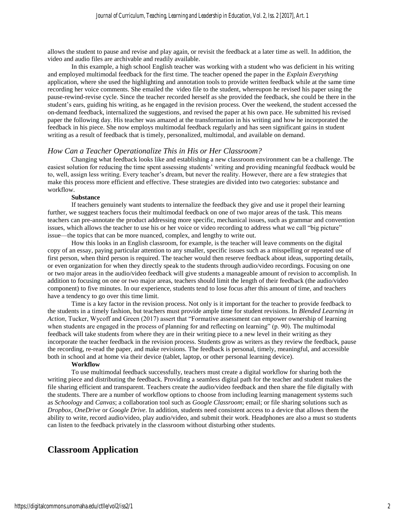allows the student to pause and revise and play again, or revisit the feedback at a later time as well. In addition, the video and audio files are archivable and readily available.

In this example, a high school English teacher was working with a student who was deficient in his writing and employed multimodal feedback for the first time. The teacher opened the paper in the *Explain Everything* application, where she used the highlighting and annotation tools to provide written feedback while at the same time recording her voice comments. She emailed the video file to the student, whereupon he revised his paper using the pause-rewind-revise cycle. Since the teacher recorded herself as she provided the feedback, she could be there in the student's ears, guiding his writing, as he engaged in the revision process. Over the weekend, the student accessed the on-demand feedback, internalized the suggestions, and revised the paper at his own pace. He submitted his revised paper the following day. His teacher was amazed at the transformation in his writing and how he incorporated the feedback in his piece. She now employs multimodal feedback regularly and has seen significant gains in student writing as a result of feedback that is timely, personalized, multimodal, and available on demand.

### *How Can a Teacher Operationalize This in His or Her Classroom?*

Changing what feedback looks like and establishing a new classroom environment can be a challenge. The easiest solution for reducing the time spent assessing students' writing and providing meaningful feedback would be to, well, assign less writing. Every teacher's dream, but never the reality. However, there are a few strategies that make this process more efficient and effective. These strategies are divided into two categories: substance and workflow.

#### **Substance**

If teachers genuinely want students to internalize the feedback they give and use it propel their learning further, we suggest teachers focus their multimodal feedback on one of two major areas of the task. This means teachers can pre-annotate the product addressing more specific, mechanical issues, such as grammar and convention issues, which allows the teacher to use his or her voice or video recording to address what we call "big picture" issue—the topics that can be more nuanced, complex, and lengthy to write out.

How this looks in an English classroom, for example, is the teacher will leave comments on the digital copy of an essay, paying particular attention to any smaller, specific issues such as a misspelling or repeated use of first person, when third person is required. The teacher would then reserve feedback about ideas, supporting details, or even organization for when they directly speak to the students through audio/video recordings. Focusing on one or two major areas in the audio/video feedback will give students a manageable amount of revision to accomplish. In addition to focusing on one or two major areas, teachers should limit the length of their feedback (the audio/video component) to five minutes. In our experience, students tend to lose focus after this amount of time, and teachers have a tendency to go over this time limit.

Time is a key factor in the revision process. Not only is it important for the teacher to provide feedback to the students in a timely fashion, but teachers must provide ample time for student revisions. In *Blended Learning in Action*, Tucker, Wycoff and Green (2017) assert that "Formative assessment can empower ownership of learning when students are engaged in the process of planning for and reflecting on learning" (p. 90). The multimodal feedback will take students from where they are in their writing piece to a new level in their writing as they incorporate the teacher feedback in the revision process. Students grow as writers as they review the feedback, pause the recording, re-read the paper, and make revisions. The feedback is personal, timely, meaningful, and accessible both in school and at home via their device (tablet, laptop, or other personal learning device).

#### **Workflow**

To use multimodal feedback successfully, teachers must create a digital workflow for sharing both the writing piece and distributing the feedback. Providing a seamless digital path for the teacher and student makes the file sharing efficient and transparent. Teachers create the audio/video feedback and then share the file digitally with the students. There are a number of workflow options to choose from including learning management systems such as *Schoology* and *Canvas*; a collaboration tool such as *Google Classroom*; email; or file sharing solutions such as *Dropbox, OneDrive* or *Google Drive*. In addition, students need consistent access to a device that allows them the ability to write, record audio/video, play audio/video, and submit their work. Headphones are also a must so students can listen to the feedback privately in the classroom without disturbing other students.

# **Classroom Application**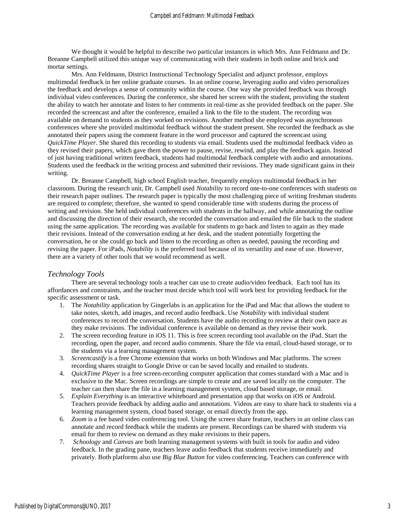We thought it would be helpful to describe two particular instances in which Mrs. Ann Feldmann and Dr. Breanne Campbell utilized this unique way of communicating with their students in both online and brick and mortar settings.

Mrs. Ann Feldmann, District Instructional Technology Specialist and adjunct professor, employs multimodal feedback in her online graduate courses. In an online course, leveraging audio and video personalizes the feedback and develops a sense of community within the course. One way she provided feedback was through individual video conferences. During the conference, she shared her screen with the student, providing the student the ability to watch her annotate and listen to her comments in real-time as she provided feedback on the paper. She recorded the screencast and after the conference, emailed a link to the file to the student. The recording was available on demand to students as they worked on revisions. Another method she employed was asynchronous conferences where she provided multimodal feedback without the student present. She recorded the feedback as she annotated their papers using the comment feature in the word processor and captured the screencast using *QuickTime Player*. She shared this recording to students via email. Students used the multimodal feedback video as they revised their papers, which gave them the power to pause, revise, rewind, and play the feedback again. Instead of just having traditional written feedback, students had multimodal feedback complete with audio and annotations. Students used the feedback in the writing process and submitted their revisions. They made significant gains in their writing.

Dr. Breanne Campbell, high school English teacher, frequently employs multimodal feedback in her classroom. During the research unit, Dr. Campbell used *Notability* to record one-to-one conferences with students on their research paper outlines. The research paper is typically the most challenging piece of writing freshman students are required to complete; therefore, she wanted to spend considerable time with students during the process of writing and revision. She held individual conferences with students in the hallway, and while annotating the outline and discussing the direction of their research, she recorded the conversation and emailed the file back to the student using the same application. The recording was available for students to go back and listen to again as they made their revisions. Instead of the conversation ending at her desk, and the student potentially forgetting the conversation, he or she could go back and listen to the recording as often as needed, pausing the recording and revising the paper. For iPads, *Notability* is the preferred tool because of its versatility and ease of use. However, there are a variety of other tools that we would recommend as well.

### *Technology Tools*

There are several technology tools a teacher can use to create audio/video feedback. Each tool has its affordances and constraints, and the teacher must decide which tool will work best for providing feedback for the specific assessment or task.

- 1. The *Notability* application by Gingerlabs is an application for the iPad and Mac that allows the student to take notes, sketch, add images, and record audio feedback. Use *Notability* with individual student conferences to record the conversation. Students have the audio recording to review at their own pace as they make revisions. The individual conference is available on demand as they revise their work.
- 2. The screen recording feature in iOS 11. This is free screen recording tool available on the iPad. Start the recording, open the paper, and record audio comments. Share the file via email, cloud-based storage, or to the students via a learning management system.
- 3. *Screencastify* is a free Chrome extension that works on both Windows and Mac platforms. The screen recording shares straight to Google Drive or can be saved locally and emailed to students.
- 4. *QuickTime Player* is a free screen-recording computer application that comes standard with a Mac and is exclusive to the Mac. Screen recordings are simple to create and are saved locally on the computer. The teacher can then share the file in a learning management system, cloud based storage, or email.
- 5. *Explain Everything* is an interactive whiteboard and presentation app that works on iOS or Android. Teachers provide feedback by adding audio and annotations. Videos are easy to share back to students via a learning management system, cloud based storage, or email directly from the app.
- 6. *Zoom* is a fee based video conferencing tool. Using the screen share feature, teachers in an online class can annotate and record feedback while the students are present. Recordings can be shared with students via email for them to review on demand as they make revisions to their papers.
- 7. *Schoology* and *Canvas* are both learning management systems with built in tools for audio and video feedback. In the grading pane, teachers leave audio feedback that students receive immediately and privately. Both platforms also use *Big Blue Button* for video conferencing. Teachers can conference with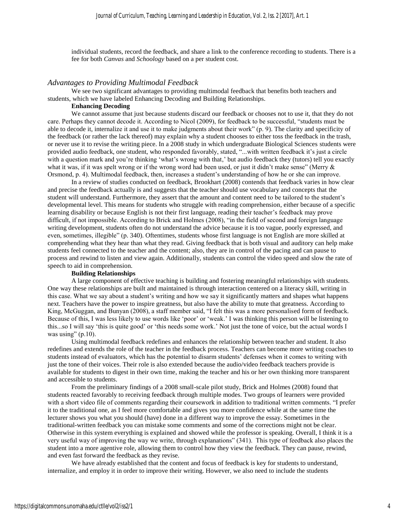individual students, record the feedback, and share a link to the conference recording to students. There is a fee for both *Canvas* and *Schoology* based on a per student cost.

#### *Advantages to Providing Multimodal Feedback*

We see two significant advantages to providing multimodal feedback that benefits both teachers and students, which we have labeled Enhancing Decoding and Building Relationships.

#### **Enhancing Decoding**

We cannot assume that just because students discard our feedback or chooses not to use it, that they do not care. Perhaps they cannot decode it. According to Nicol (2009), for feedback to be successful, "students must be able to decode it, internalize it and use it to make judgments about their work" (p. 9). The clarity and specificity of the feedback (or rather the lack thereof) may explain why a student chooses to either toss the feedback in the trash, or never use it to revise the writing piece. In a 2008 study in which undergraduate Biological Sciences students were provided audio feedback, one student, who responded favorably, stated, "...with written feedback it's just a circle with a question mark and you're thinking 'what's wrong with that,' but audio feedback they (tutors) tell you exactly what it was, if it was spelt wrong or if the wrong word had been used, or just it didn't make sense" (Merry & Orsmond, p. 4). Multimodal feedback, then, increases a student's understanding of how he or she can improve.

In a review of studies conducted on feedback, Brookhart (2008) contends that feedback varies in how clear and precise the feedback actually is and suggests that the teacher should use vocabulary and concepts that the student will understand. Furthermore, they assert that the amount and content need to be tailored to the student's developmental level. This means for students who struggle with reading comprehension, either because of a specific learning disability or because English is not their first language, reading their teacher's feedback may prove difficult, if not impossible. According to Brick and Holmes (2008), "in the field of second and foreign language writing development, students often do not understand the advice because it is too vague, poorly expressed, and even, sometimes, illegible" (p. 340). Oftentimes, students whose first language is not English are more skilled at comprehending what they hear than what they read. Giving feedback that is both visual and auditory can help make students feel connected to the teacher and the content; also, they are in control of the pacing and can pause to process and rewind to listen and view again. Additionally, students can control the video speed and slow the rate of speech to aid in comprehension.

#### **Building Relationships**

A large component of effective teaching is building and fostering meaningful relationships with students. One way these relationships are built and maintained is through interaction centered on a literacy skill, writing in this case. What we say about a student's writing and how we say it significantly matters and shapes what happens next. Teachers have the power to inspire greatness, but also have the ability to mute that greatness. According to King, McGuggan, and Bunyan (2008), a staff member said, "I felt this was a more personalised form of feedback. Because of this, I was less likely to use words like 'poor' or 'weak.' I was thinking this person will be listening to this...so I will say 'this is quite good' or 'this needs some work.' Not just the tone of voice, but the actual words I was using"  $(p.10)$ .

Using multimodal feedback redefines and enhances the relationship between teacher and student. It also redefines and extends the role of the teacher in the feedback process. Teachers can become more writing coaches to students instead of evaluators, which has the potential to disarm students' defenses when it comes to writing with just the tone of their voices. Their role is also extended because the audio/video feedback teachers provide is available for students to digest in their own time, making the teacher and his or her own thinking more transparent and accessible to students.

From the preliminary findings of a 2008 small-scale pilot study, Brick and Holmes (2008) found that students reacted favorably to receiving feedback through multiple modes. Two groups of learners were provided with a short video file of comments regarding their coursework in addition to traditional written comments. "I prefer it to the traditional one, as I feel more comfortable and gives you more confidence while at the same time the lecturer shows you what you should (have) done in a different way to improve the essay. Sometimes in the traditional-written feedback you can mistake some comments and some of the corrections might not be clear. Otherwise in this system everything is explained and showed while the professor is speaking. Overall, I think it is a very useful way of improving the way we write, through explanations" (341). This type of feedback also places the student into a more agentive role, allowing them to control how they view the feedback. They can pause, rewind, and even fast forward the feedback as they revise.

We have already established that the content and focus of feedback is key for students to understand, internalize, and employ it in order to improve their writing. However, we also need to include the students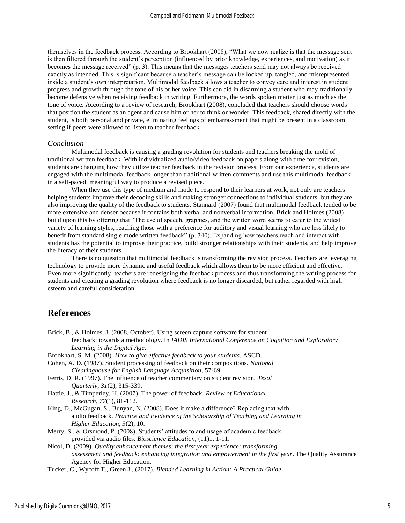themselves in the feedback process. According to Brookhart (2008), "What we now realize is that the message sent is then filtered through the student's perception (influenced by prior knowledge, experiences, and motivation) as it becomes the message received" (p. 3). This means that the messages teachers send may not always be received exactly as intended. This is significant because a teacher's message can be locked up, tangled, and misrepresented inside a student's own interpretation. Multimodal feedback allows a teacher to convey care and interest in student progress and growth through the tone of his or her voice. This can aid in disarming a student who may traditionally become defensive when receiving feedback in writing. Furthermore, the words spoken matter just as much as the tone of voice. According to a review of research, Brookhart (2008), concluded that teachers should choose words that position the student as an agent and cause him or her to think or wonder. This feedback, shared directly with the student, is both personal and private, eliminating feelings of embarrassment that might be present in a classroom setting if peers were allowed to listen to teacher feedback.

#### *Conclusion*

Multimodal feedback is causing a grading revolution for students and teachers breaking the mold of traditional written feedback. With individualized audio/video feedback on papers along with time for revision, students are changing how they utilize teacher feedback in the revision process. From our experience, students are engaged with the multimodal feedback longer than traditional written comments and use this multimodal feedback in a self-paced, meaningful way to produce a revised piece.

When they use this type of medium and mode to respond to their learners at work, not only are teachers helping students improve their decoding skills and making stronger connections to individual students, but they are also improving the quality of the feedback to students. Stannard (2007) found that multimodal feedback tended to be more extensive and denser because it contains both verbal and nonverbal information. Brick and Holmes (2008) build upon this by offering that "The use of speech, graphics, and the written word seems to cater to the widest variety of learning styles, reaching those with a preference for auditory and visual learning who are less likely to benefit from standard single mode written feedback" (p. 340). Expanding how teachers reach and interact with students has the potential to improve their practice, build stronger relationships with their students, and help improve the literacy of their students.

There is no question that multimodal feedback is transforming the revision process. Teachers are leveraging technology to provide more dynamic and useful feedback which allows them to be more efficient and effective. Even more significantly, teachers are redesigning the feedback process and thus transforming the writing process for students and creating a grading revolution where feedback is no longer discarded, but rather regarded with high esteem and careful consideration.

### **References**

- Brick, B., & Holmes, J. (2008, October). Using screen capture software for student feedback: towards a methodology. In *IADIS International Conference on Cognition and Exploratory Learning in the Digital Age*.
- Brookhart, S. M. (2008). *How to give effective feedback to your students*. ASCD.
- Cohen, A. D. (1987). Student processing of feedback on their compositions. *National Clearinghouse for English Language Acquisition*, 57-69.
- Ferris, D. R. (1997). The influence of teacher commentary on student revision. *Tesol Quarterly*, *31*(2), 315-339.
- Hattie, J., & Timperley, H. (2007). The power of feedback. *Review of Educational Research*, *77*(1), 81-112.
- King, D., McGugan, S., Bunyan, N. (2008). Does it make a difference? Replacing text with audio feedback. *Practice and Evidence of the Scholarship of Teaching and Learning in Higher Education, 3*(2), 10.
- Merry, S., & Orsmond, P. (2008). Students' attitudes to and usage of academic feedback provided via audio files. *Bioscience Education,* (11)1, 1-11.
- Nicol, D. (2009). *Quality enhancement themes: the first year experience: transforming assessment and feedback: enhancing integration and empowerment in the first year*. The Quality Assurance Agency for Higher Education.
- Tucker, C., Wycoff T., Green J., (2017). *Blended Learning in Action: A Practical Guide*